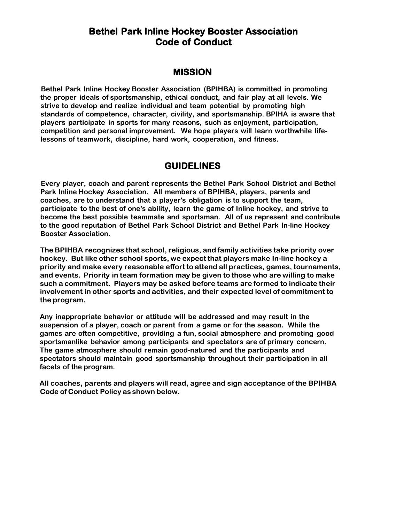# **Bethel Park Inline Hockey Booster Association Code of Conduct**

### **MISSION**

**Bethel Park Inline Hockey Booster Association (BPIHBA) is committed in promoting the proper ideals of sportsmanship, ethical conduct, and fair play at all levels. We strive to develop and realize individual and team potential by promoting high standards of competence, character, civility, and sportsmanship. BPIHA is aware that players participate in sports for many reasons, such as enjoyment, participation, competition and personal improvement. We hope players will learn worthwhile lifelessons of teamwork, discipline, hard work, cooperation, and fitness.**

### **GUIDELINES**

**Every player, coach and parent represents the Bethel Park School District and Bethel Park Inline Hockey Association. All members of BPIHBA, players, parents and coaches, are to understand that a player's obligation is to support the team, participate to the best of one's ability, learn the game of Inline hockey, and strive to become the best possible teammate and sportsman. All of us represent and contribute to the good reputation of Bethel Park School District and Bethel Park In-line Hockey Booster Association.**

**The BPIHBA recognizes that school, religious, and family activities take priority over hockey. But like other school sports, we expect that players make In-line hockey a priority and make every reasonable effort to attend all practices, games, tournaments, and events. Priority in team formation may be given to those who are willing to make such a commitment. Players may be asked before teams are formed to indicate their involvement in other sports and activities, and their expected level of commitment to the program.**

**Any inappropriate behavior or attitude will be addressed and may result in the suspension of a player, coach or parent from a game or for the season. While the games are often competitive, providing a fun, social atmosphere and promoting good sportsmanlike behavior among participants and spectators are of primary concern. The game atmosphere should remain good-natured and the participants and spectators should maintain good sportsmanship throughout their participation in all facets of the program.**

**All coaches, parents and players will read, agree and sign acceptance ofthe BPIHBA Code of Conduct Policy as shown below.**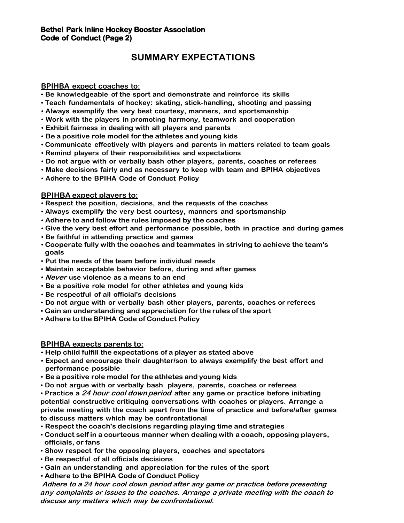# **SUMMARY EXPECTATIONS**

#### **BPIHBA expect coaches to:**

- **Be knowledgeable of the sport and demonstrate and reinforce its skills**
- **Teach fundamentals of hockey: skating, stick-handling, shooting and passing**
- **Always exemplify the very best courtesy, manners, and sportsmanship**
- **Work with the players in promoting harmony, teamwork and cooperation**
- **Exhibit fairness in dealing with all players and parents**
- **Be a positive role model for the athletes and young kids**
- **Communicate effectively with players and parents in matters related to team goals**
- **Remind players of their responsibilities and expectations**
- **Do not argue with or verbally bash other players, parents, coaches or referees**
- **Make decisions fairly and as necessary to keep with team and BPIHA objectives**
- **Adhere to the BPIHA Code of Conduct Policy**

#### **BPIHBA expect players to:**

- **Respect the position, decisions, and the requests of the coaches**
- **Always exemplify the very best courtesy, manners and sportsmanship**
- **Adhere to and follow the rules imposed by the coaches**
- **Give the very best effort and performance possible, both in practice and during games**
- **Be faithful in attending practice and games**
- **Cooperate fully with the coaches and teammates in striving to achieve the team's goals**
- **Put the needs of the team before individual needs**
- **Maintain acceptable behavior before, during and after games**
- **Never use violence as a means to an end**
- **Be a positive role model for other athletes and young kids**
- **Be respectful of all official's decisions**
- **Do not argue with or verbally bash other players, parents, coaches or referees**
- **Gain an understanding and appreciation for the rules of the sport**
- **Adhere to the BPIHA Code of Conduct Policy**

#### **BPIHBA expects parents to:**

- **Help child fulfill the expectations of a player as stated above**
- **Expect and encourage their daughter/son to always exemplify the best effort and performance possible**
- **Be a positive role model for the athletes and young kids**
- **Do not argue with or verbally bash players, parents, coaches or referees**
- **Practice a <sup>24</sup> hour cool downperiod after any game or practice before initiating potential constructive critiquing conversations with coaches or players. Arrange a private meeting with the coach apart from the time of practice and before/after games to discuss matters which may be confrontational**
- **Respect the coach's decisions regarding playing time and strategies**
- **Conduct self in a courteous manner when dealing with a coach, opposing players, officials, or fans**
- **Show respect for the opposing players, coaches and spectators**
- **Be respectful of all officials decisions**
- **Gain an understanding and appreciation for the rules of the sport**
- **Adhere to the BPIHA Code of Conduct Policy**

**Adhere to <sup>a</sup> 24 hour cool down period after any game or practice before presenting any complaints or issues to the coaches. Arrange <sup>a</sup> private meeting with the coach to discuss any matters which may be confrontational.**